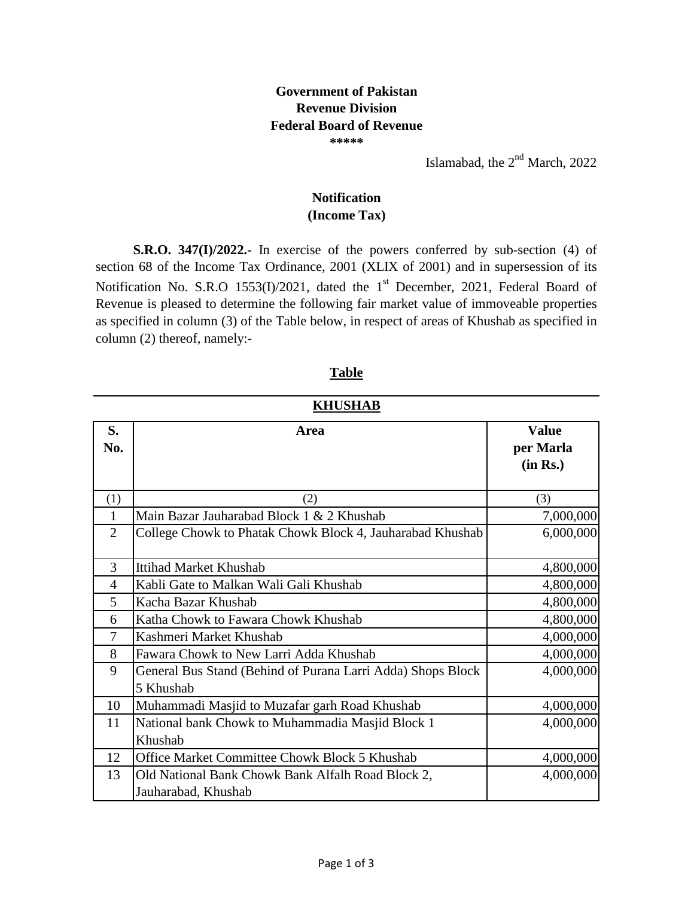## **Government of Pakistan Revenue Division Federal Board of Revenue**

**\*\*\*\*\***

Islamabad, the  $2<sup>nd</sup>$  March, 2022

## **(Income Tax) Notification**

**S.R.O. 347(I)/2022.-** In exercise of the powers conferred by sub-section (4) of section 68 of the Income Tax Ordinance, 2001 (XLIX of 2001) and in supersession of its Notification No. S.R.O 1553(I)/2021, dated the 1<sup>st</sup> December, 2021, Federal Board of Revenue is pleased to determine the following fair market value of immoveable properties as specified in column (3) of the Table below, in respect of areas of Khushab as specified in column (2) thereof, namely:-

| MILOMIAD       |                                                                          |                           |  |
|----------------|--------------------------------------------------------------------------|---------------------------|--|
| S.<br>No.      | Area                                                                     | <b>Value</b><br>per Marla |  |
|                |                                                                          | (in Rs.)                  |  |
| (1)            | (2)                                                                      | (3)                       |  |
| 1              | Main Bazar Jauharabad Block 1 & 2 Khushab                                | 7,000,000                 |  |
| $\overline{2}$ | College Chowk to Phatak Chowk Block 4, Jauharabad Khushab                | 6,000,000                 |  |
| 3              | <b>Ittihad Market Khushab</b>                                            | 4,800,000                 |  |
| 4              | Kabli Gate to Malkan Wali Gali Khushab                                   | 4,800,000                 |  |
| 5              | Kacha Bazar Khushab                                                      | 4,800,000                 |  |
| 6              | Katha Chowk to Fawara Chowk Khushab                                      | 4,800,000                 |  |
| 7              | Kashmeri Market Khushab                                                  | 4,000,000                 |  |
| 8              | Fawara Chowk to New Larri Adda Khushab                                   | 4,000,000                 |  |
| 9              | General Bus Stand (Behind of Purana Larri Adda) Shops Block              | 4,000,000                 |  |
|                | 5 Khushab                                                                |                           |  |
| 10             | Muhammadi Masjid to Muzafar garh Road Khushab                            | 4,000,000                 |  |
| 11             | National bank Chowk to Muhammadia Masjid Block 1                         | 4,000,000                 |  |
|                | Khushab                                                                  |                           |  |
| 12             | <b>Office Market Committee Chowk Block 5 Khushab</b>                     | 4,000,000                 |  |
| 13             | Old National Bank Chowk Bank Alfalh Road Block 2,<br>Jauharabad, Khushab | 4,000,000                 |  |

|--|

## **KHUSHAB**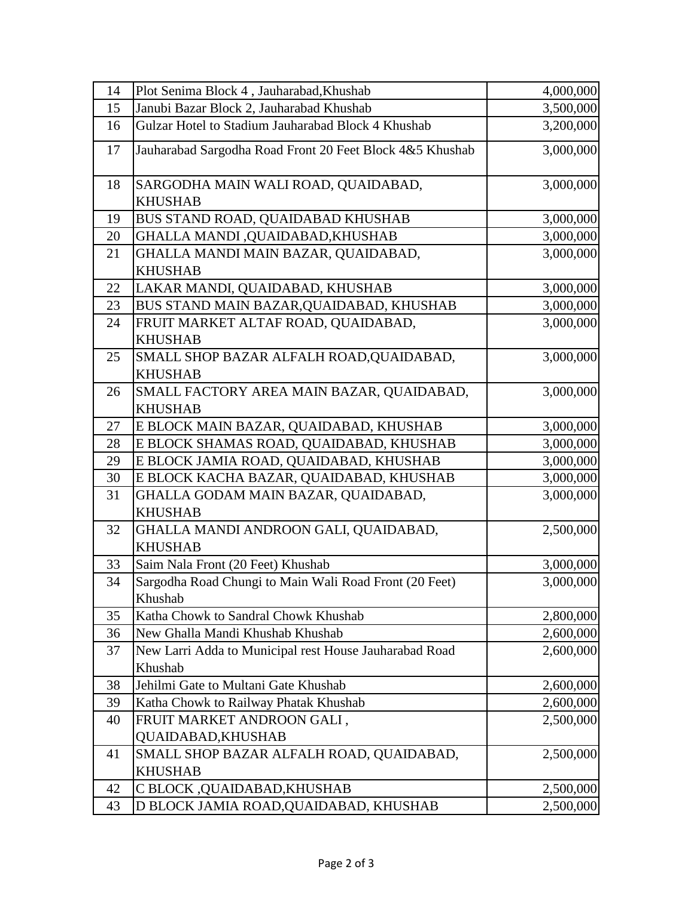| 14 | Plot Senima Block 4, Jauharabad, Khushab                 | 4,000,000 |
|----|----------------------------------------------------------|-----------|
| 15 | Janubi Bazar Block 2, Jauharabad Khushab                 | 3,500,000 |
| 16 | Gulzar Hotel to Stadium Jauharabad Block 4 Khushab       | 3,200,000 |
| 17 | Jauharabad Sargodha Road Front 20 Feet Block 4&5 Khushab | 3,000,000 |
| 18 | SARGODHA MAIN WALI ROAD, QUAIDABAD,                      | 3,000,000 |
|    | <b>KHUSHAB</b>                                           |           |
| 19 | BUS STAND ROAD, QUAIDABAD KHUSHAB                        | 3,000,000 |
| 20 | GHALLA MANDI, QUAIDABAD, KHUSHAB                         | 3,000,000 |
| 21 | GHALLA MANDI MAIN BAZAR, QUAIDABAD,                      | 3,000,000 |
|    | <b>KHUSHAB</b>                                           |           |
| 22 | LAKAR MANDI, QUAIDABAD, KHUSHAB                          | 3,000,000 |
| 23 | BUS STAND MAIN BAZAR, QUAIDABAD, KHUSHAB                 | 3,000,000 |
| 24 | FRUIT MARKET ALTAF ROAD, QUAIDABAD,                      | 3,000,000 |
|    | <b>KHUSHAB</b>                                           |           |
| 25 | SMALL SHOP BAZAR ALFALH ROAD, QUAIDABAD,                 | 3,000,000 |
|    | <b>KHUSHAB</b>                                           |           |
| 26 | SMALL FACTORY AREA MAIN BAZAR, QUAIDABAD,                | 3,000,000 |
|    | <b>KHUSHAB</b>                                           |           |
| 27 | E BLOCK MAIN BAZAR, QUAIDABAD, KHUSHAB                   | 3,000,000 |
| 28 | E BLOCK SHAMAS ROAD, QUAIDABAD, KHUSHAB                  | 3,000,000 |
| 29 | E BLOCK JAMIA ROAD, QUAIDABAD, KHUSHAB                   | 3,000,000 |
| 30 | E BLOCK KACHA BAZAR, QUAIDABAD, KHUSHAB                  | 3,000,000 |
| 31 | GHALLA GODAM MAIN BAZAR, QUAIDABAD,                      | 3,000,000 |
|    | <b>KHUSHAB</b>                                           |           |
| 32 | GHALLA MANDI ANDROON GALI, QUAIDABAD,                    | 2,500,000 |
|    | <b>KHUSHAB</b>                                           |           |
| 33 | Saim Nala Front (20 Feet) Khushab                        | 3,000,000 |
| 34 | Sargodha Road Chungi to Main Wali Road Front (20 Feet)   | 3,000,000 |
|    | Khushab                                                  |           |
| 35 | Katha Chowk to Sandral Chowk Khushab                     | 2,800,000 |
| 36 | New Ghalla Mandi Khushab Khushab                         | 2,600,000 |
| 37 | New Larri Adda to Municipal rest House Jauharabad Road   | 2,600,000 |
|    | Khushab                                                  |           |
| 38 | Jehilmi Gate to Multani Gate Khushab                     | 2,600,000 |
| 39 | Katha Chowk to Railway Phatak Khushab                    | 2,600,000 |
| 40 | FRUIT MARKET ANDROON GALI,                               | 2,500,000 |
|    | QUAIDABAD,KHUSHAB                                        |           |
| 41 | SMALL SHOP BAZAR ALFALH ROAD, QUAIDABAD,                 | 2,500,000 |
|    | <b>KHUSHAB</b>                                           |           |
| 42 | C BLOCK ,QUAIDABAD,KHUSHAB                               | 2,500,000 |
| 43 | D BLOCK JAMIA ROAD, QUAIDABAD, KHUSHAB                   | 2,500,000 |